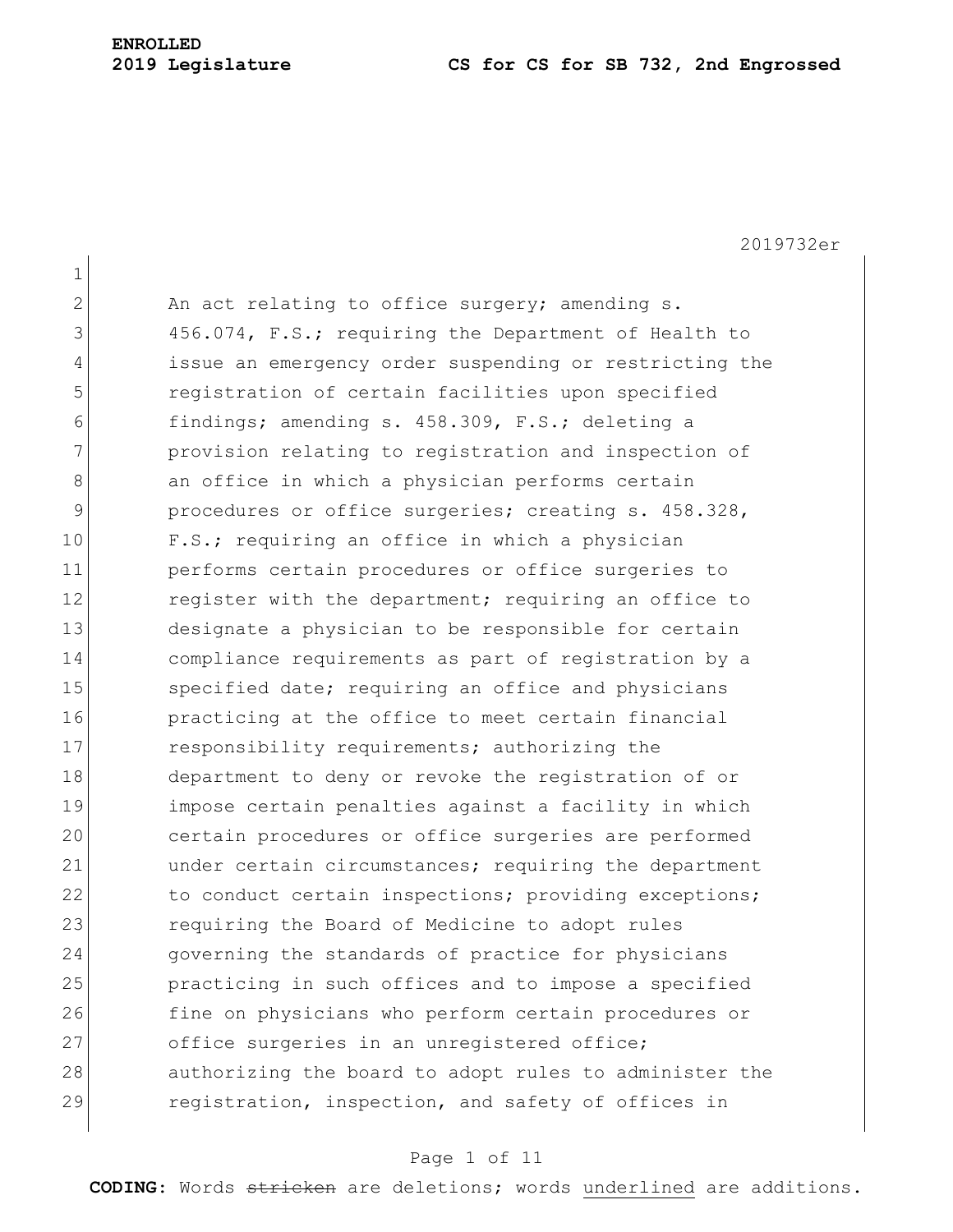## **ENROLLED**

#### **2019 Legislature CS for CS for SB 732, 2nd Engrossed**

2019732er 1  $2$  An act relating to office surgery; amending s. 3 456.074, F.S.; requiring the Department of Health to 4 issue an emergency order suspending or restricting the 5 **19** registration of certain facilities upon specified 6 findings; amending s. 458.309, F.S.; deleting a 7 **provision relating to registration and inspection of** 8 an office in which a physician performs certain 9 procedures or office surgeries; creating s. 458.328, 10 F.S.; requiring an office in which a physician 11 performs certain procedures or office surgeries to 12 register with the department; requiring an office to 13 designate a physician to be responsible for certain 14 compliance requirements as part of registration by a 15 Specified date; requiring an office and physicians 16 **practicing at the office to meet certain financial** 17 responsibility requirements; authorizing the 18 department to deny or revoke the registration of or 19 impose certain penalties against a facility in which 20 certain procedures or office surgeries are performed 21 under certain circumstances; requiring the department 22 to conduct certain inspections; providing exceptions; 23 requiring the Board of Medicine to adopt rules 24 governing the standards of practice for physicians 25 practicing in such offices and to impose a specified 26 fine on physicians who perform certain procedures or 27 office surgeries in an unregistered office; 28 authorizing the board to adopt rules to administer the 29 registration, inspection, and safety of offices in

#### Page 1 of 11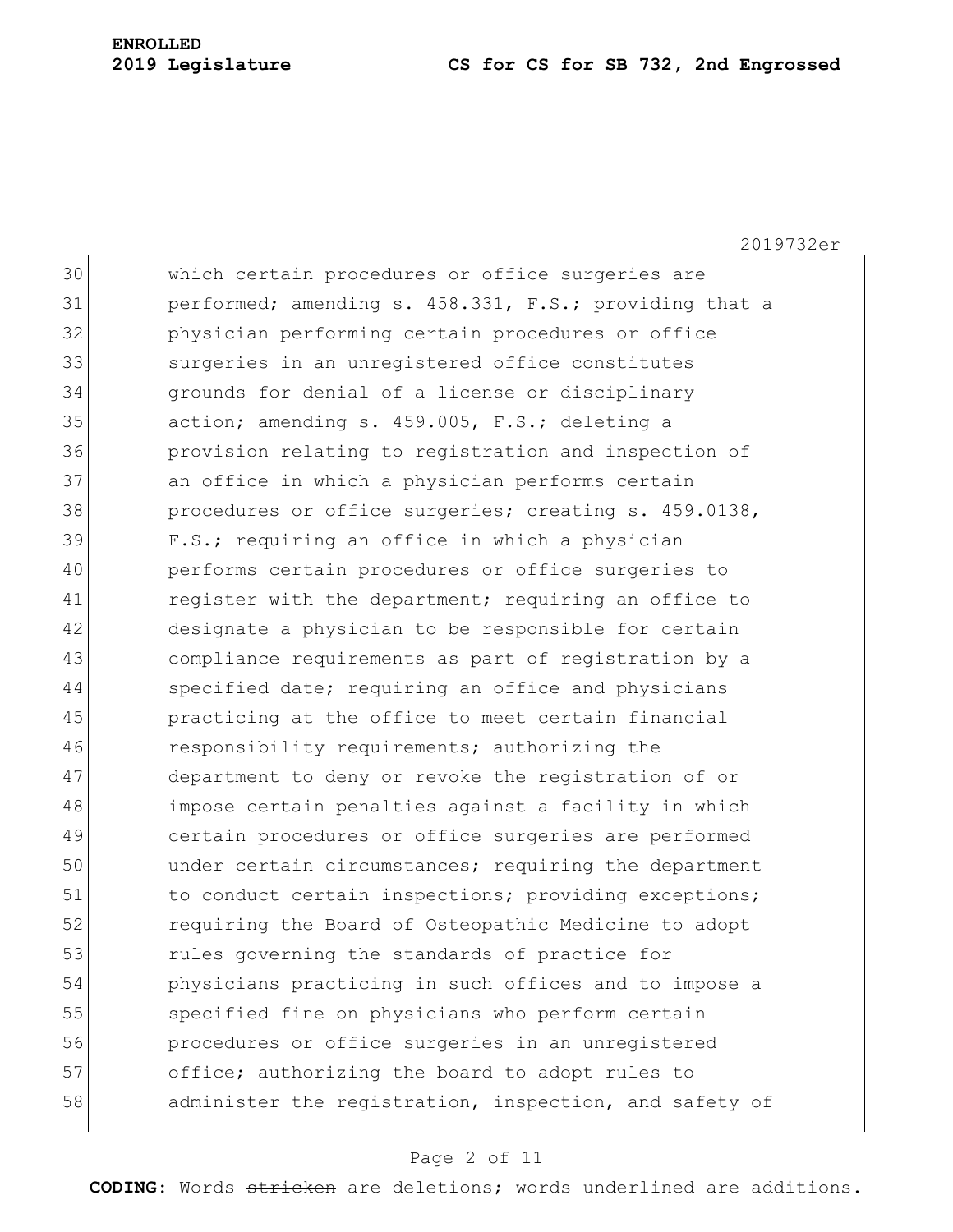# **ENROLLED**

#### **Legislature CS for CS for SB 732, 2nd Engrossed**

2019732er

 which certain procedures or office surgeries are performed; amending s.  $458.331$ , F.S.; providing that a **physician performing certain procedures or office** 33 surgeries in an unregistered office constitutes grounds for denial of a license or disciplinary 35 action; amending s. 459.005, F.S.; deleting a provision relating to registration and inspection of an office in which a physician performs certain 38 procedures or office surgeries; creating s. 459.0138, F.S.; requiring an office in which a physician performs certain procedures or office surgeries to 41 register with the department; requiring an office to designate a physician to be responsible for certain compliance requirements as part of registration by a 44 specified date; requiring an office and physicians practicing at the office to meet certain financial responsibility requirements; authorizing the 47 department to deny or revoke the registration of or impose certain penalties against a facility in which certain procedures or office surgeries are performed under certain circumstances; requiring the department 51 to conduct certain inspections; providing exceptions; requiring the Board of Osteopathic Medicine to adopt **rules** governing the standards of practice for physicians practicing in such offices and to impose a specified fine on physicians who perform certain procedures or office surgeries in an unregistered 57 office; authorizing the board to adopt rules to 58 administer the registration, inspection, and safety of

#### Page 2 of 11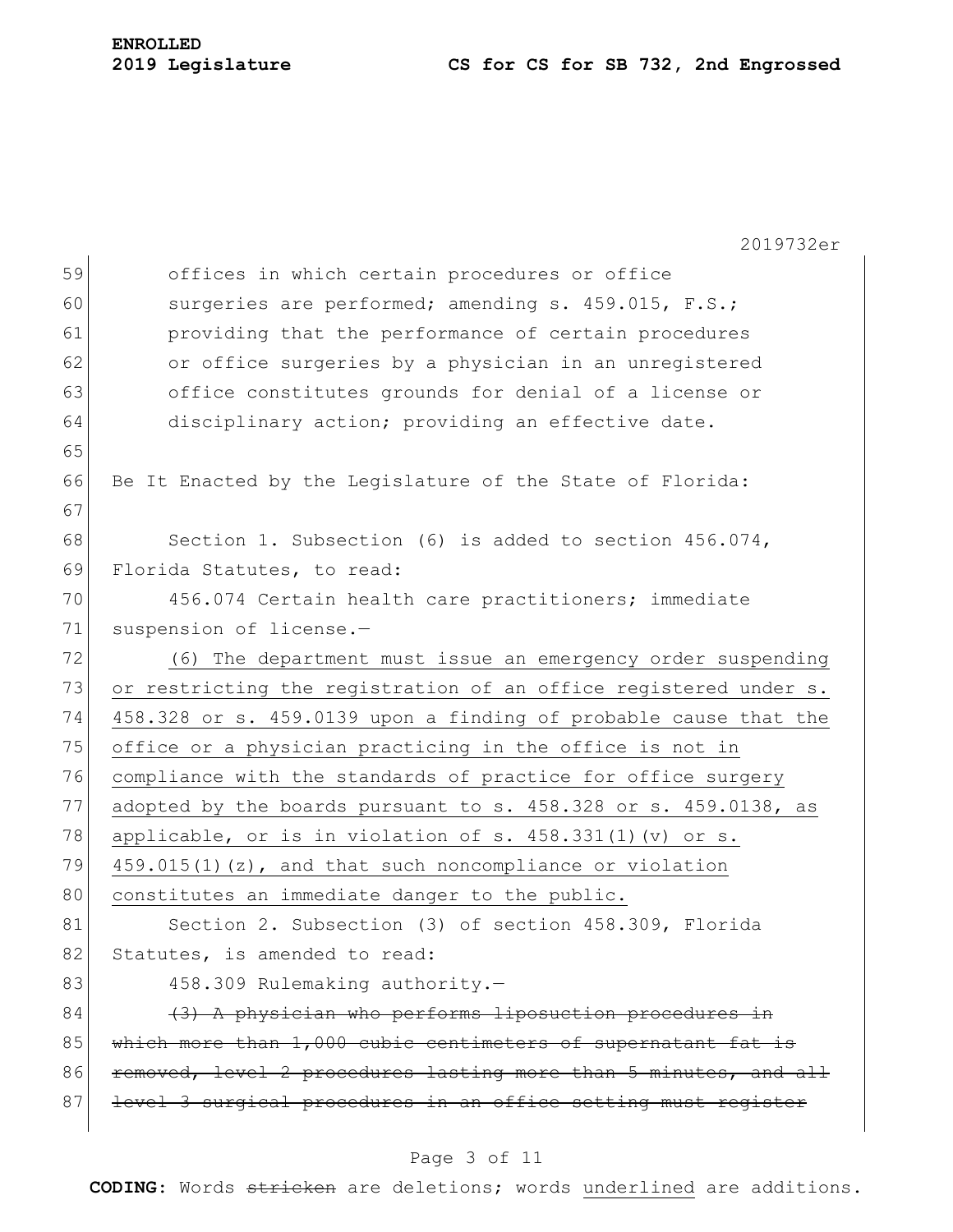## **2019 Legislature CS for CS for SB 732, 2nd Engrossed**

|    | 2019732er                                                        |  |  |  |  |  |  |  |  |
|----|------------------------------------------------------------------|--|--|--|--|--|--|--|--|
| 59 | offices in which certain procedures or office                    |  |  |  |  |  |  |  |  |
| 60 | surgeries are performed; amending s. 459.015, F.S.;              |  |  |  |  |  |  |  |  |
| 61 | providing that the performance of certain procedures             |  |  |  |  |  |  |  |  |
| 62 | or office surgeries by a physician in an unregistered            |  |  |  |  |  |  |  |  |
| 63 | office constitutes grounds for denial of a license or            |  |  |  |  |  |  |  |  |
| 64 | disciplinary action; providing an effective date.                |  |  |  |  |  |  |  |  |
| 65 |                                                                  |  |  |  |  |  |  |  |  |
| 66 | Be It Enacted by the Legislature of the State of Florida:        |  |  |  |  |  |  |  |  |
| 67 |                                                                  |  |  |  |  |  |  |  |  |
| 68 | Section 1. Subsection (6) is added to section $456.074$ ,        |  |  |  |  |  |  |  |  |
| 69 | Florida Statutes, to read:                                       |  |  |  |  |  |  |  |  |
| 70 | 456.074 Certain health care practitioners; immediate             |  |  |  |  |  |  |  |  |
| 71 | suspension of license.-                                          |  |  |  |  |  |  |  |  |
| 72 | (6) The department must issue an emergency order suspending      |  |  |  |  |  |  |  |  |
| 73 | or restricting the registration of an office registered under s. |  |  |  |  |  |  |  |  |
| 74 | 458.328 or s. 459.0139 upon a finding of probable cause that the |  |  |  |  |  |  |  |  |
| 75 | office or a physician practicing in the office is not in         |  |  |  |  |  |  |  |  |
| 76 | compliance with the standards of practice for office surgery     |  |  |  |  |  |  |  |  |
| 77 | adopted by the boards pursuant to s. 458.328 or s. 459.0138, as  |  |  |  |  |  |  |  |  |
| 78 | applicable, or is in violation of s. $458.331(1)$ (v) or s.      |  |  |  |  |  |  |  |  |
| 79 | $459.015(1)$ (z), and that such noncompliance or violation       |  |  |  |  |  |  |  |  |
| 80 | constitutes an immediate danger to the public.                   |  |  |  |  |  |  |  |  |
| 81 | Section 2. Subsection (3) of section 458.309, Florida            |  |  |  |  |  |  |  |  |
| 82 | Statutes, is amended to read:                                    |  |  |  |  |  |  |  |  |
| 83 | 458.309 Rulemaking authority.-                                   |  |  |  |  |  |  |  |  |
| 84 | (3) A physician who performs liposuction procedures in           |  |  |  |  |  |  |  |  |
| 85 | which more than 1,000 cubic centimeters of supernatant fat is    |  |  |  |  |  |  |  |  |
| 86 | removed, level 2 procedures lasting more than 5 minutes, and all |  |  |  |  |  |  |  |  |
| 87 | level 3 surgical procedures in an office setting must register   |  |  |  |  |  |  |  |  |

## Page 3 of 11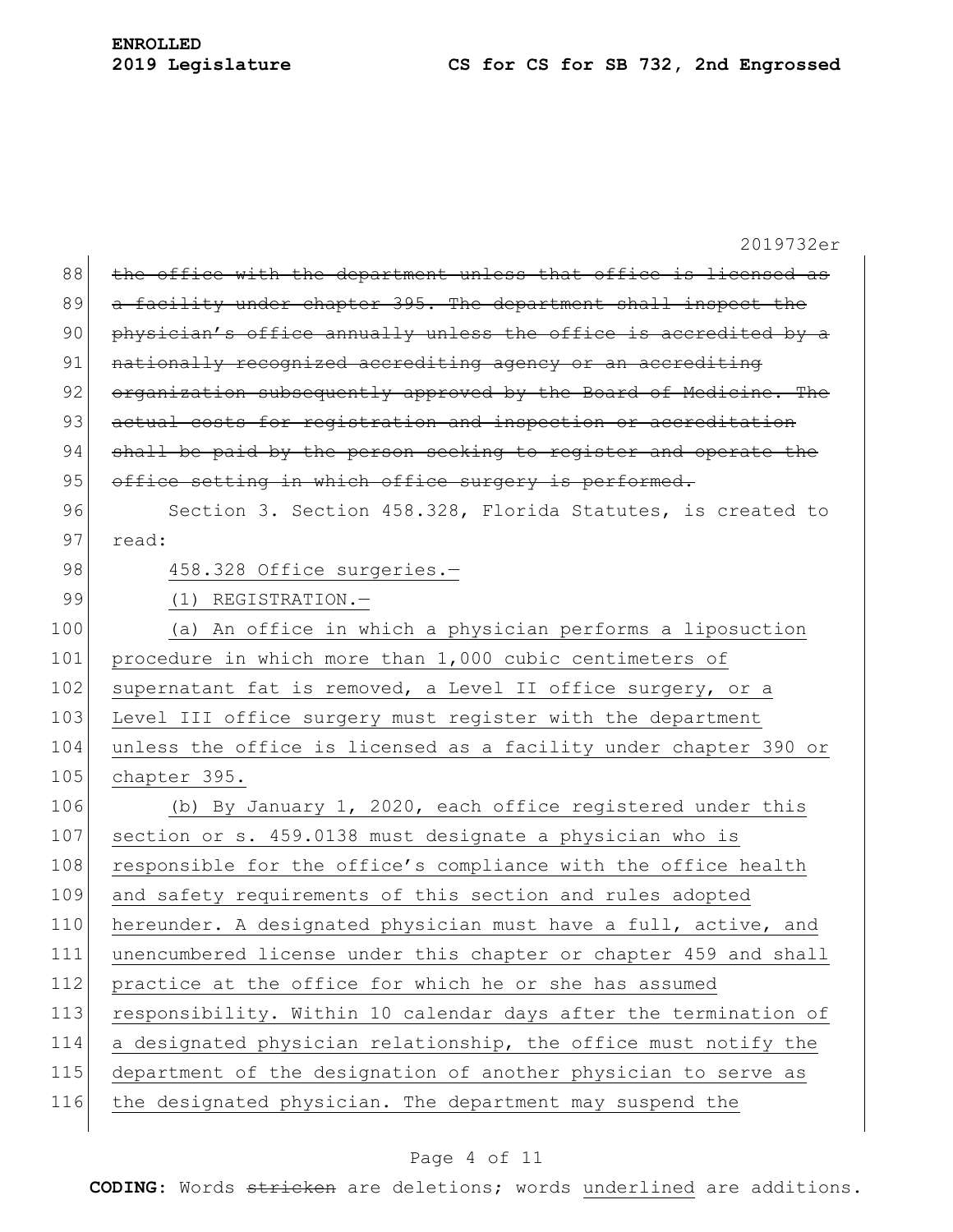|     | 2019732er                                                        |
|-----|------------------------------------------------------------------|
| 88  | the office with the department unless that office is licensed as |
| 89  | a facility under chapter 395. The department shall inspect the   |
| 90  | physician's office annually unless the office is accredited by a |
| 91  | nationally recognized accrediting agency or an accrediting       |
| 92  | organization subsequently approved by the Board of Medicine. The |
| 93  | actual costs for registration and inspection or accreditation    |
| 94  | shall be paid by the person seeking to register and operate the  |
| 95  | office setting in which office surgery is performed.             |
| 96  | Section 3. Section 458.328, Florida Statutes, is created to      |
| 97  | read:                                                            |
| 98  | 458.328 Office surgeries.-                                       |
| 99  | (1) REGISTRATION.-                                               |
| 100 | (a) An office in which a physician performs a liposuction        |
| 101 | procedure in which more than 1,000 cubic centimeters of          |
| 102 | supernatant fat is removed, a Level II office surgery, or a      |
| 103 | Level III office surgery must register with the department       |
| 104 | unless the office is licensed as a facility under chapter 390 or |
| 105 | chapter 395.                                                     |
| 106 | (b) By January 1, 2020, each office registered under this        |
| 107 | section or s. 459.0138 must designate a physician who is         |
| 108 | responsible for the office's compliance with the office health   |
| 109 | and safety requirements of this section and rules adopted        |
| 110 | hereunder. A designated physician must have a full, active, and  |
| 111 | unencumbered license under this chapter or chapter 459 and shall |
| 112 | practice at the office for which he or she has assumed           |
| 113 | responsibility. Within 10 calendar days after the termination of |
| 114 | a designated physician relationship, the office must notify the  |
| 115 | department of the designation of another physician to serve as   |
| 116 | the designated physician. The department may suspend the         |
|     |                                                                  |

## Page 4 of 11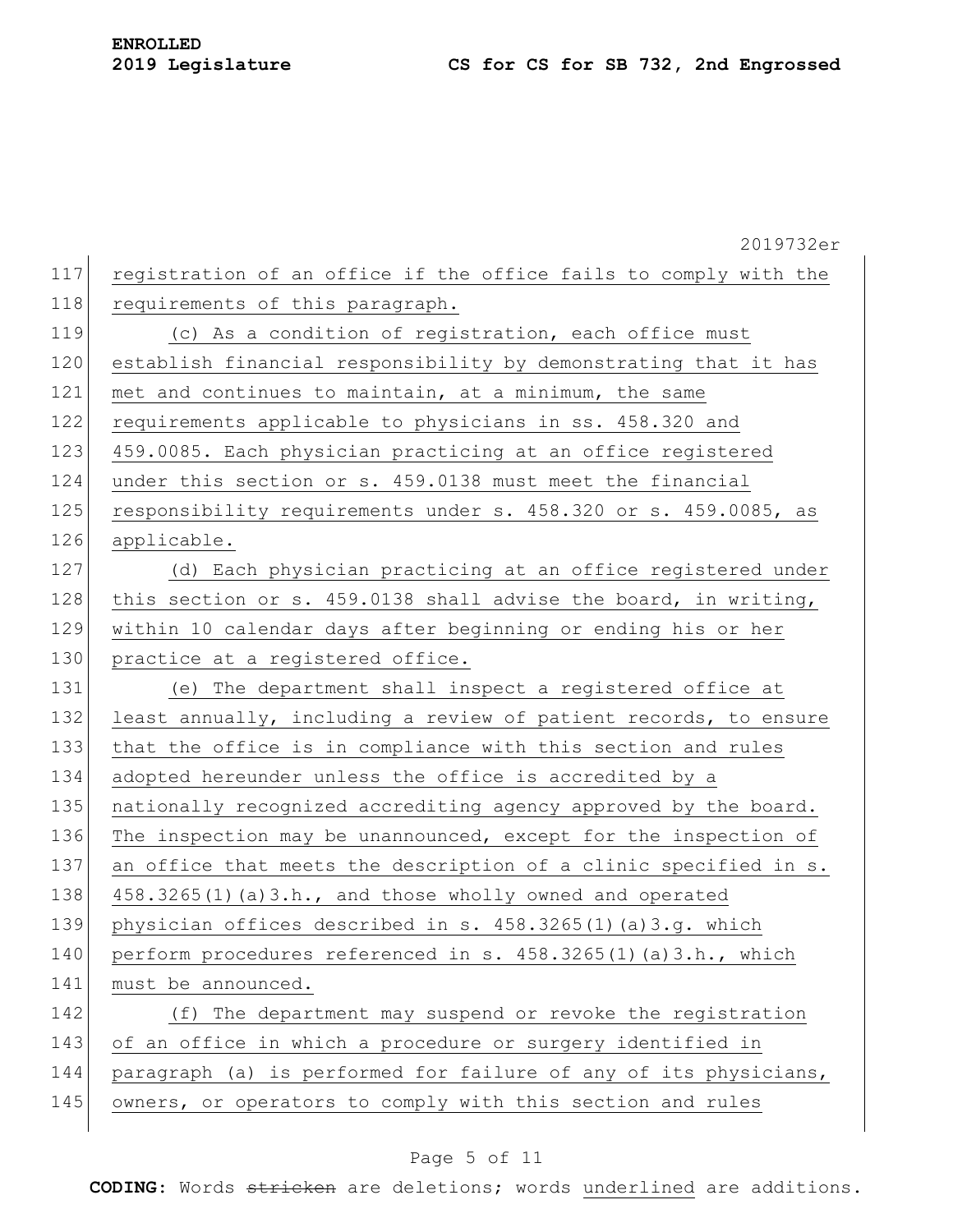|     | 2019732er                                                        |
|-----|------------------------------------------------------------------|
| 117 | registration of an office if the office fails to comply with the |
| 118 | requirements of this paragraph.                                  |
| 119 | (c) As a condition of registration, each office must             |
| 120 | establish financial responsibility by demonstrating that it has  |
| 121 | met and continues to maintain, at a minimum, the same            |
| 122 | requirements applicable to physicians in ss. 458.320 and         |
| 123 | 459.0085. Each physician practicing at an office registered      |
| 124 | under this section or s. 459.0138 must meet the financial        |
| 125 | responsibility requirements under s. 458.320 or s. 459.0085, as  |
| 126 | applicable.                                                      |
| 127 | (d) Each physician practicing at an office registered under      |
| 128 | this section or s. 459.0138 shall advise the board, in writing,  |
| 129 | within 10 calendar days after beginning or ending his or her     |
| 130 | practice at a registered office.                                 |
| 131 | (e) The department shall inspect a registered office at          |
| 132 | least annually, including a review of patient records, to ensure |
| 133 | that the office is in compliance with this section and rules     |
| 134 | adopted hereunder unless the office is accredited by a           |
| 135 | nationally recognized accrediting agency approved by the board.  |
| 136 | The inspection may be unannounced, except for the inspection of  |
| 137 | an office that meets the description of a clinic specified in s. |
| 138 | 458.3265(1)(a)3.h., and those wholly owned and operated          |
| 139 | physician offices described in s. 458.3265(1)(a)3.g. which       |
| 140 | perform procedures referenced in s. 458.3265(1)(a)3.h., which    |
| 141 | must be announced.                                               |
| 142 | (f) The department may suspend or revoke the registration        |
| 143 | of an office in which a procedure or surgery identified in       |
| 144 | paragraph (a) is performed for failure of any of its physicians, |
| 145 | owners, or operators to comply with this section and rules       |
|     |                                                                  |

## Page 5 of 11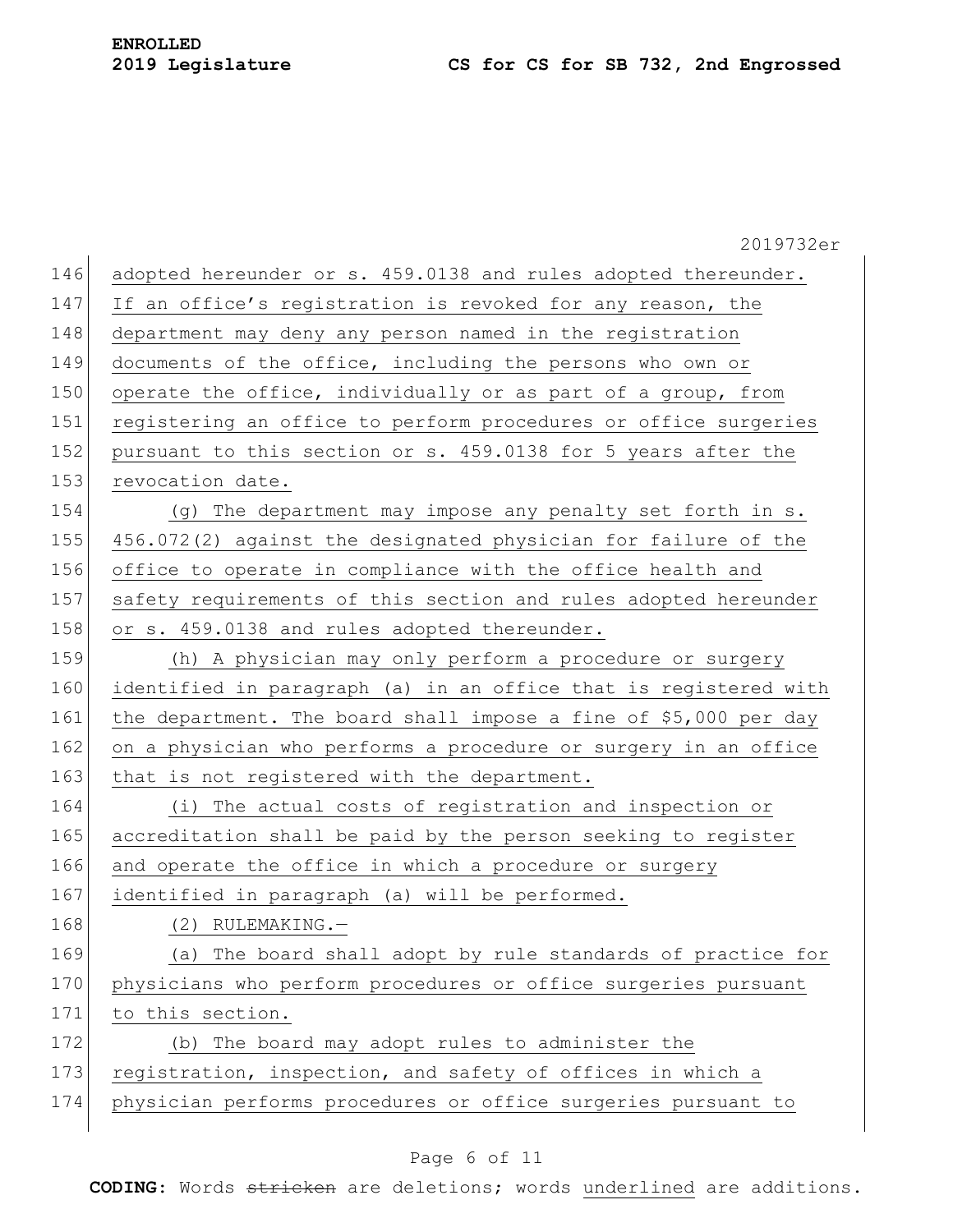2019732er 146 adopted hereunder or s. 459.0138 and rules adopted thereunder. 147 If an office's registration is revoked for any reason, the 148 department may deny any person named in the registration 149 documents of the office, including the persons who own or 150 operate the office, individually or as part of a group, from 151 registering an office to perform procedures or office surgeries 152 pursuant to this section or s. 459.0138 for 5 years after the 153 revocation date. 154 (g) The department may impose any penalty set forth in s. 155 456.072(2) against the designated physician for failure of the 156 office to operate in compliance with the office health and 157 safety requirements of this section and rules adopted hereunder 158 or s. 459.0138 and rules adopted thereunder. 159 (h) A physician may only perform a procedure or surgery 160 identified in paragraph (a) in an office that is registered with 161 the department. The board shall impose a fine of \$5,000 per day 162 on a physician who performs a procedure or surgery in an office 163 that is not registered with the department. 164 (i) The actual costs of registration and inspection or 165 accreditation shall be paid by the person seeking to register 166 and operate the office in which a procedure or surgery 167 identified in paragraph (a) will be performed. 168 (2) RULEMAKING.-169 (a) The board shall adopt by rule standards of practice for 170 physicians who perform procedures or office surgeries pursuant 171 to this section. 172 (b) The board may adopt rules to administer the 173 registration, inspection, and safety of offices in which a 174 physician performs procedures or office surgeries pursuant to

#### Page 6 of 11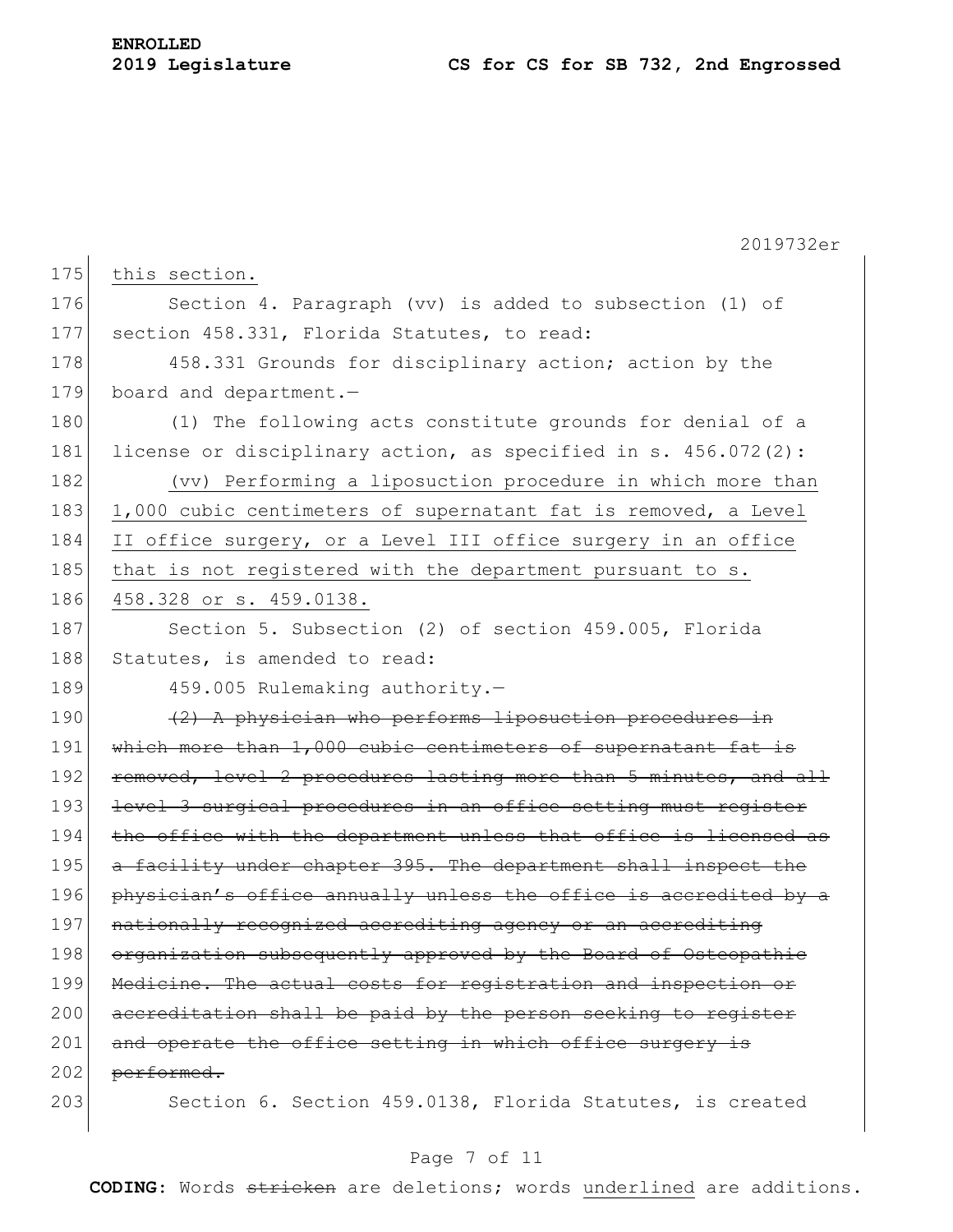|     | 2019732er                                                         |
|-----|-------------------------------------------------------------------|
| 175 | this section.                                                     |
| 176 | Section 4. Paragraph (vv) is added to subsection (1) of           |
| 177 | section 458.331, Florida Statutes, to read:                       |
| 178 | 458.331 Grounds for disciplinary action; action by the            |
| 179 | board and department.-                                            |
| 180 | (1) The following acts constitute grounds for denial of a         |
| 181 | license or disciplinary action, as specified in s. $456.072(2)$ : |
| 182 | (vv) Performing a liposuction procedure in which more than        |
| 183 | 1,000 cubic centimeters of supernatant fat is removed, a Level    |
| 184 | II office surgery, or a Level III office surgery in an office     |
| 185 | that is not registered with the department pursuant to s.         |
| 186 | 458.328 or s. 459.0138.                                           |
| 187 | Section 5. Subsection (2) of section 459.005, Florida             |
| 188 | Statutes, is amended to read:                                     |
| 189 | 459.005 Rulemaking authority.-                                    |
| 190 | (2) A physician who performs liposuction procedures in            |
| 191 | which more than 1,000 cubic centimeters of supernatant fat is     |
| 192 | removed, level 2 procedures lasting more than 5 minutes, and all  |
| 193 | level 3 surgical procedures in an office setting must register    |
| 194 | the office with the department unless that office is licensed as  |
| 195 | a facility under chapter 395. The department shall inspect the    |
| 196 | physician's office annually unless the office is accredited by a  |
| 197 | nationally recognized accrediting agency or an accrediting        |
| 198 | organization subsequently approved by the Board of Osteopathic    |
| 199 | Medicine. The actual costs for registration and inspection or     |
| 200 | accreditation shall be paid by the person seeking to register     |
| 201 | and operate the office setting in which office surgery is         |
| 202 | performed.                                                        |
| 203 | Section 6. Section 459.0138, Florida Statutes, is created         |

## Page 7 of 11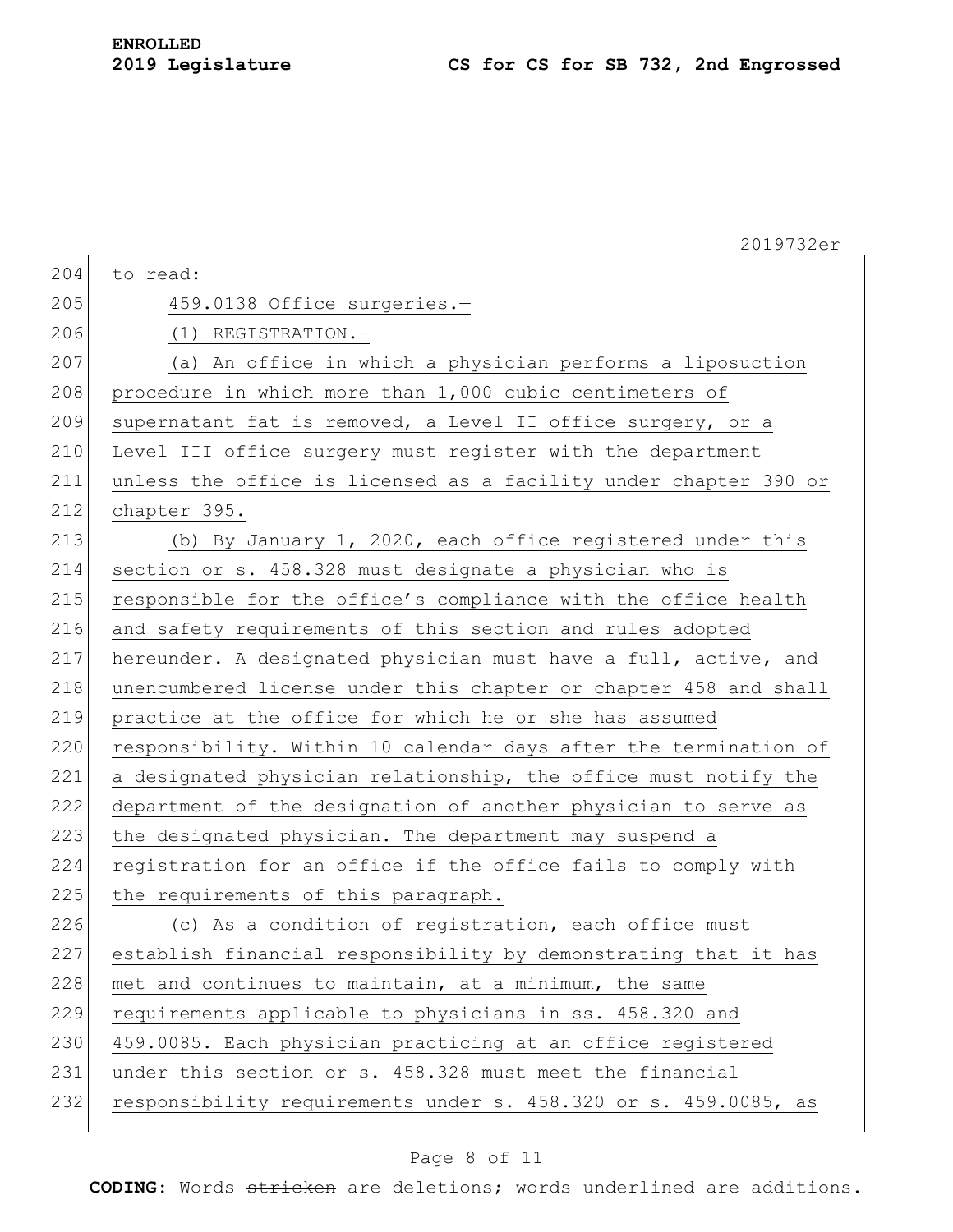|     | 2019732er                                                        |
|-----|------------------------------------------------------------------|
| 204 | to read:                                                         |
| 205 | 459.0138 Office surgeries.-                                      |
| 206 | $(1)$ REGISTRATION. -                                            |
| 207 | (a) An office in which a physician performs a liposuction        |
| 208 | procedure in which more than 1,000 cubic centimeters of          |
| 209 | supernatant fat is removed, a Level II office surgery, or a      |
| 210 | Level III office surgery must register with the department       |
| 211 | unless the office is licensed as a facility under chapter 390 or |
| 212 | chapter 395.                                                     |
| 213 | (b) By January 1, 2020, each office registered under this        |
| 214 | section or s. 458.328 must designate a physician who is          |
| 215 | responsible for the office's compliance with the office health   |
| 216 | and safety requirements of this section and rules adopted        |
| 217 | hereunder. A designated physician must have a full, active, and  |
| 218 | unencumbered license under this chapter or chapter 458 and shall |
| 219 | practice at the office for which he or she has assumed           |
| 220 | responsibility. Within 10 calendar days after the termination of |
| 221 | a designated physician relationship, the office must notify the  |
| 222 | department of the designation of another physician to serve as   |
| 223 | the designated physician. The department may suspend a           |
| 224 | registration for an office if the office fails to comply with    |
| 225 | the requirements of this paragraph.                              |
| 226 | (c) As a condition of registration, each office must             |
| 227 | establish financial responsibility by demonstrating that it has  |
| 228 | met and continues to maintain, at a minimum, the same            |
| 229 | requirements applicable to physicians in ss. 458.320 and         |
| 230 | 459.0085. Each physician practicing at an office registered      |
| 231 | under this section or s. 458.328 must meet the financial         |
| 232 | responsibility requirements under s. 458.320 or s. 459.0085, as  |
|     |                                                                  |

## Page 8 of 11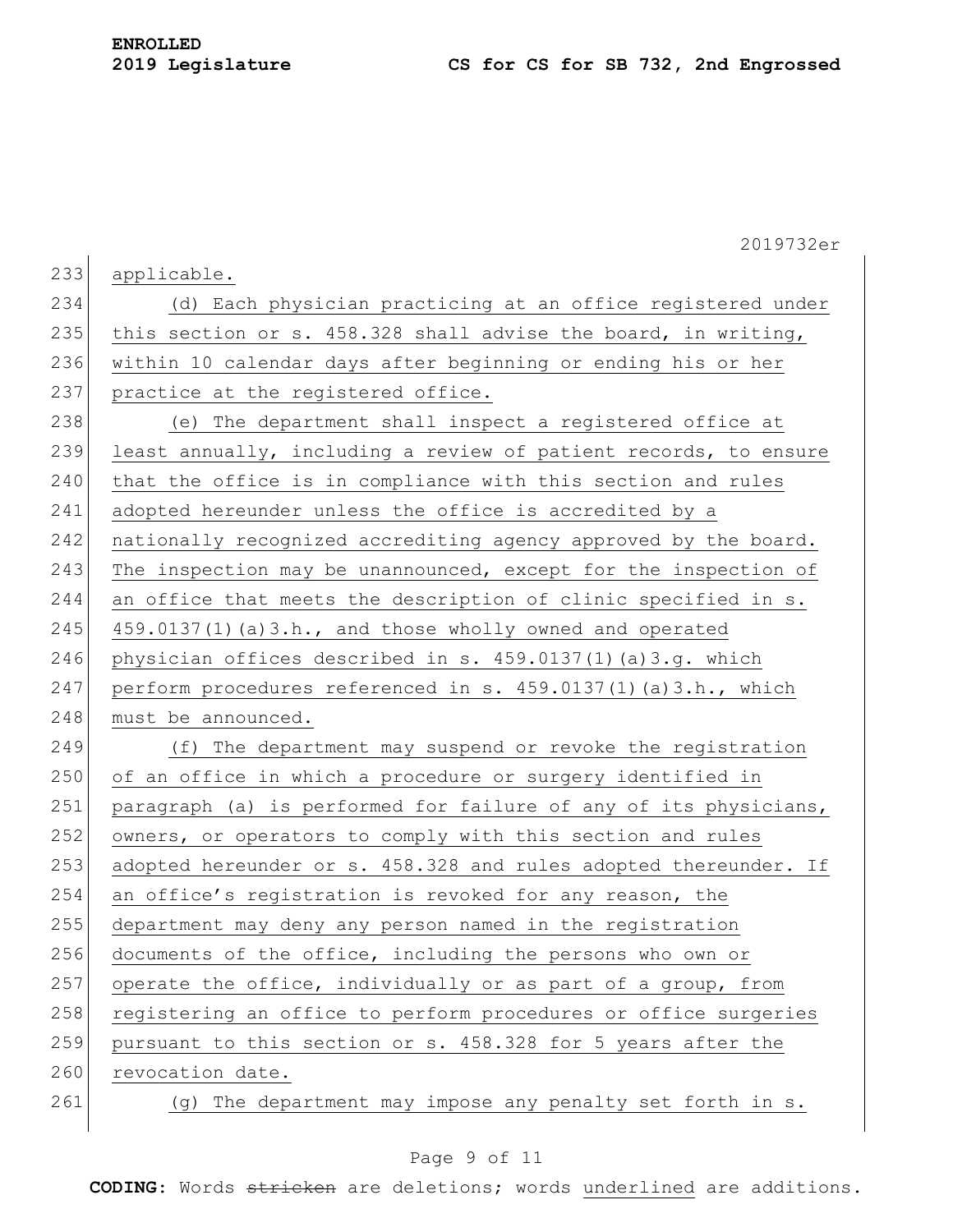|     | 2019732er                                                        |
|-----|------------------------------------------------------------------|
| 233 | applicable.                                                      |
| 234 | (d) Each physician practicing at an office registered under      |
| 235 | this section or s. 458.328 shall advise the board, in writing,   |
| 236 | within 10 calendar days after beginning or ending his or her     |
| 237 | practice at the registered office.                               |
| 238 | (e) The department shall inspect a registered office at          |
| 239 | least annually, including a review of patient records, to ensure |
| 240 | that the office is in compliance with this section and rules     |
| 241 | adopted hereunder unless the office is accredited by a           |
| 242 | nationally recognized accrediting agency approved by the board.  |
| 243 | The inspection may be unannounced, except for the inspection of  |
| 244 | an office that meets the description of clinic specified in s.   |
| 245 | 459.0137(1)(a)3.h., and those wholly owned and operated          |
| 246 | physician offices described in s. 459.0137(1)(a)3.g. which       |
| 247 | perform procedures referenced in s. 459.0137(1)(a)3.h., which    |
| 248 | must be announced.                                               |
| 249 | (f) The department may suspend or revoke the registration        |
| 250 | of an office in which a procedure or surgery identified in       |
| 251 | paragraph (a) is performed for failure of any of its physicians, |
| 252 | owners, or operators to comply with this section and rules       |
| 253 | adopted hereunder or s. 458.328 and rules adopted thereunder. If |
| 254 | an office's registration is revoked for any reason, the          |
| 255 | department may deny any person named in the registration         |
| 256 | documents of the office, including the persons who own or        |
| 257 | operate the office, individually or as part of a group, from     |
| 258 | registering an office to perform procedures or office surgeries  |
| 259 | pursuant to this section or s. 458.328 for 5 years after the     |
| 260 | revocation date.                                                 |
| 261 | (g) The department may impose any penalty set forth in s.        |

## Page 9 of 11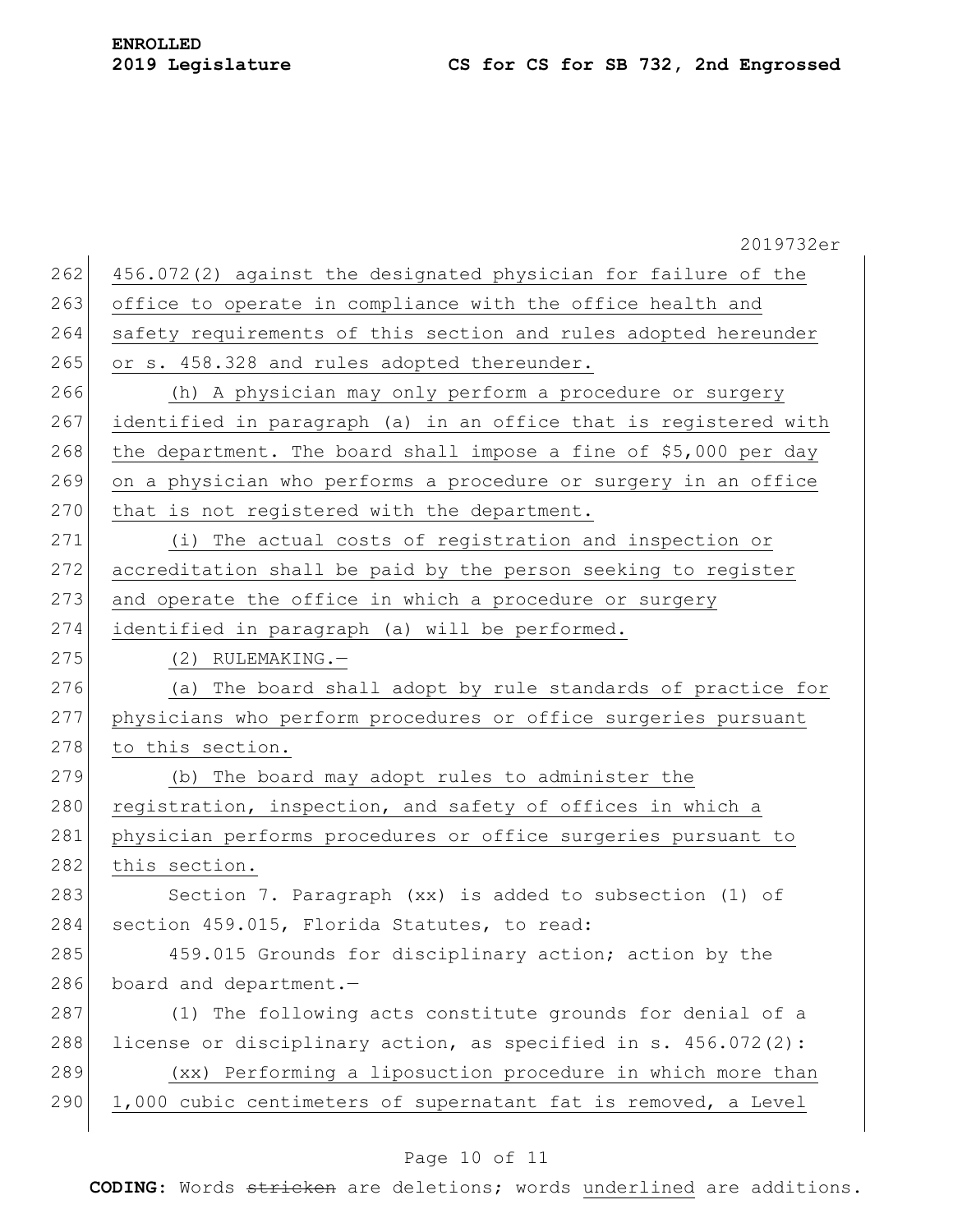|     | 2019732er                                                        |  |  |  |  |  |  |  |  |
|-----|------------------------------------------------------------------|--|--|--|--|--|--|--|--|
| 262 | 456.072(2) against the designated physician for failure of the   |  |  |  |  |  |  |  |  |
| 263 | office to operate in compliance with the office health and       |  |  |  |  |  |  |  |  |
| 264 | safety requirements of this section and rules adopted hereunder  |  |  |  |  |  |  |  |  |
| 265 | or s. 458.328 and rules adopted thereunder.                      |  |  |  |  |  |  |  |  |
| 266 | (h) A physician may only perform a procedure or surgery          |  |  |  |  |  |  |  |  |
| 267 | identified in paragraph (a) in an office that is registered with |  |  |  |  |  |  |  |  |
| 268 | the department. The board shall impose a fine of \$5,000 per day |  |  |  |  |  |  |  |  |
| 269 | on a physician who performs a procedure or surgery in an office  |  |  |  |  |  |  |  |  |
| 270 | that is not registered with the department.                      |  |  |  |  |  |  |  |  |
| 271 | (i) The actual costs of registration and inspection or           |  |  |  |  |  |  |  |  |
| 272 | accreditation shall be paid by the person seeking to register    |  |  |  |  |  |  |  |  |
| 273 | and operate the office in which a procedure or surgery           |  |  |  |  |  |  |  |  |
| 274 | identified in paragraph (a) will be performed.                   |  |  |  |  |  |  |  |  |
| 275 | $(2)$ RULEMAKING. $-$                                            |  |  |  |  |  |  |  |  |
| 276 | (a) The board shall adopt by rule standards of practice for      |  |  |  |  |  |  |  |  |
| 277 | physicians who perform procedures or office surgeries pursuant   |  |  |  |  |  |  |  |  |
| 278 | to this section.                                                 |  |  |  |  |  |  |  |  |
| 279 | (b) The board may adopt rules to administer the                  |  |  |  |  |  |  |  |  |
| 280 | registration, inspection, and safety of offices in which a       |  |  |  |  |  |  |  |  |
| 281 | physician performs procedures or office surgeries pursuant to    |  |  |  |  |  |  |  |  |
| 282 | this section.                                                    |  |  |  |  |  |  |  |  |
| 283 | Section 7. Paragraph (xx) is added to subsection (1) of          |  |  |  |  |  |  |  |  |
| 284 | section 459.015, Florida Statutes, to read:                      |  |  |  |  |  |  |  |  |
| 285 | 459.015 Grounds for disciplinary action; action by the           |  |  |  |  |  |  |  |  |
| 286 | board and department.-                                           |  |  |  |  |  |  |  |  |
| 287 | (1) The following acts constitute grounds for denial of a        |  |  |  |  |  |  |  |  |
| 288 | license or disciplinary action, as specified in s. 456.072(2):   |  |  |  |  |  |  |  |  |
| 289 | (xx) Performing a liposuction procedure in which more than       |  |  |  |  |  |  |  |  |
| 290 | 1,000 cubic centimeters of supernatant fat is removed, a Level   |  |  |  |  |  |  |  |  |
|     |                                                                  |  |  |  |  |  |  |  |  |

## Page 10 of 11